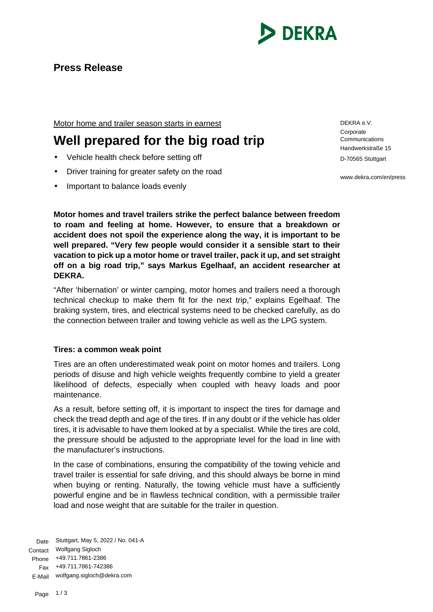

Motor home and trailer season starts in earnest

# **Well prepared for the big road trip**

- Vehicle health check before setting off
- Driver training for greater safety on the road
- Important to balance loads evenly

DEKRA e.V. **Corporate** Communications Handwerkstraße 15 D-70565 Stuttgart

www.dekra.com/en/press

**Motor homes and travel trailers strike the perfect balance between freedom to roam and feeling at home. However, to ensure that a breakdown or accident does not spoil the experience along the way, it is important to be well prepared. "Very few people would consider it a sensible start to their vacation to pick up a motor home or travel trailer, pack it up, and set straight off on a big road trip," says Markus Egelhaaf, an accident researcher at DEKRA.**

"After 'hibernation' or winter camping, motor homes and trailers need a thorough technical checkup to make them fit for the next trip," explains Egelhaaf. The braking system, tires, and electrical systems need to be checked carefully, as do the connection between trailer and towing vehicle as well as the LPG system.

## **Tires: a common weak point**

Tires are an often underestimated weak point on motor homes and trailers. Long periods of disuse and high vehicle weights frequently combine to yield a greater likelihood of defects, especially when coupled with heavy loads and poor maintenance.

As a result, before setting off, it is important to inspect the tires for damage and check the tread depth and age of the tires. If in any doubt or if the vehicle has older tires, it is advisable to have them looked at by a specialist. While the tires are cold, the pressure should be adjusted to the appropriate level for the load in line with the manufacturer's instructions.

In the case of combinations, ensuring the compatibility of the towing vehicle and travel trailer is essential for safe driving, and this should always be borne in mind when buying or renting. Naturally, the towing vehicle must have a sufficiently powerful engine and be in flawless technical condition, with a permissible trailer load and nose weight that are suitable for the trailer in question.

Date Stuttgart, May 5, 2022 / No. 041-A Contact Wolfgang Sigloch Phone +49.711.7861-2386 Fax +49.711.7861-742386 E-Mail wolfgang.sigloch@dekra.com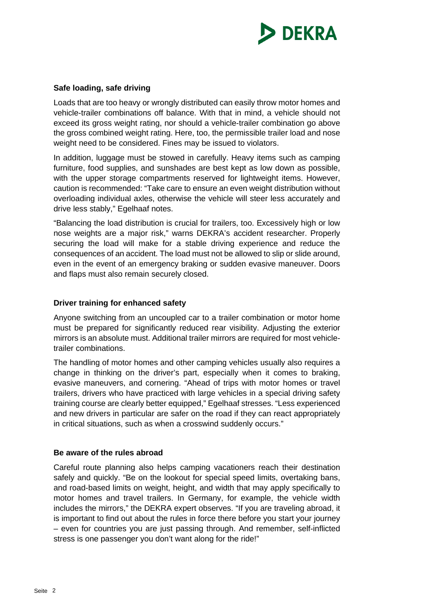

#### **Safe loading, safe driving**

Loads that are too heavy or wrongly distributed can easily throw motor homes and vehicle-trailer combinations off balance. With that in mind, a vehicle should not exceed its gross weight rating, nor should a vehicle-trailer combination go above the gross combined weight rating. Here, too, the permissible trailer load and nose weight need to be considered. Fines may be issued to violators.

In addition, luggage must be stowed in carefully. Heavy items such as camping furniture, food supplies, and sunshades are best kept as low down as possible, with the upper storage compartments reserved for lightweight items. However, caution is recommended: "Take care to ensure an even weight distribution without overloading individual axles, otherwise the vehicle will steer less accurately and drive less stably," Egelhaaf notes.

"Balancing the load distribution is crucial for trailers, too. Excessively high or low nose weights are a major risk," warns DEKRA's accident researcher. Properly securing the load will make for a stable driving experience and reduce the consequences of an accident. The load must not be allowed to slip or slide around, even in the event of an emergency braking or sudden evasive maneuver. Doors and flaps must also remain securely closed.

#### **Driver training for enhanced safety**

Anyone switching from an uncoupled car to a trailer combination or motor home must be prepared for significantly reduced rear visibility. Adjusting the exterior mirrors is an absolute must. Additional trailer mirrors are required for most vehicletrailer combinations.

The handling of motor homes and other camping vehicles usually also requires a change in thinking on the driver's part, especially when it comes to braking, evasive maneuvers, and cornering. "Ahead of trips with motor homes or travel trailers, drivers who have practiced with large vehicles in a special driving safety training course are clearly better equipped," Egelhaaf stresses. "Less experienced and new drivers in particular are safer on the road if they can react appropriately in critical situations, such as when a crosswind suddenly occurs."

### **Be aware of the rules abroad**

Careful route planning also helps camping vacationers reach their destination safely and quickly. "Be on the lookout for special speed limits, overtaking bans, and road-based limits on weight, height, and width that may apply specifically to motor homes and travel trailers. In Germany, for example, the vehicle width includes the mirrors," the DEKRA expert observes. "If you are traveling abroad, it is important to find out about the rules in force there before you start your journey – even for countries you are just passing through. And remember, self-inflicted stress is one passenger you don't want along for the ride!"